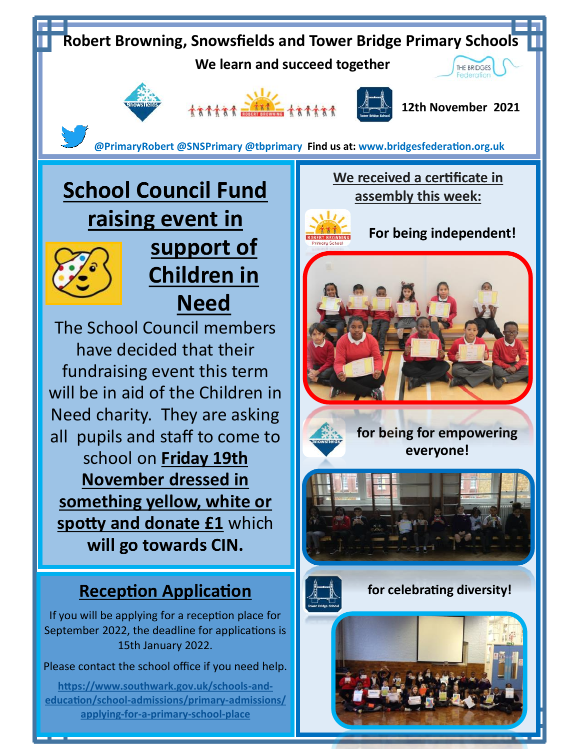